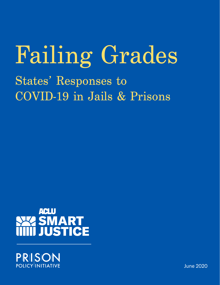# States' Responses to COVID-19 in Jails & Prisons Failing Grades



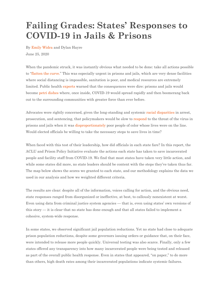# **Failing Grades: States' Responses to COVID-19 in Jails & Prisons**

By [Emily Widra](https://www.prisonpolicy.org/staff.html#widra) and Dylan Hayre June 25, 2020

When the pandemic struck, it was instantly obvious what needed to be done: take all actions possible to "[flatten the curve.](https://www.aclu.org/report/flattening-curve-why-reducing-jail-populations-key-beating-covid-19)" This was especially urgent in prisons and jails, which are very dense facilities where social distancing is impossible, sanitation is poor, and medical resources are extremely limited. Public health [experts](https://www.motherjones.com/crime-justice/2020/03/coronavirus-jails-bail-reform-arrests/) warned that the consequences were dire: prisons and jails would become [petri dishes](https://theappeal.org/jails-coronavirus-covid-19-pandemic-flattening-curve/) where, once inside, COVID-19 would spread rapidly and then boomerang back out to the surrounding communities with greater force than ever before.

Advocates were rightly concerned, given the long-standing and systemic [racial disparities](https://www.prisonpolicy.org/reports/pie2020.html) in arrest, prosecution, and sentencing, that policymakers would be slow to [respond](https://www.prisonpolicy.org/blog/2020/03/27/slowpandemic/?nav) to the threat of the virus in prisons and jails when it was [disproportionately](https://www.cnn.com/2020/05/08/us/coronavirus-pandemic-race-impact-trnd/index.html) poor people of color whose lives were on the line. Would elected officials be willing to take the necessary steps to save lives in time?

When faced with this test of their leadership, how did officials in each state fare? In this report, the ACLU and Prison Policy Initiative evaluate the actions each state has taken to save incarcerated people and facility staff from COVID-19. We find that most states have taken very little action, and while some states did more, no state leaders should be content with the steps they've taken thus far. The map below shows the scores we granted to each state, and our methodology explains the data we used in our analysis and how we weighted different criteria.

The results are clear: despite all of the information, voices calling for action, and the obvious need, state responses ranged from disorganized or ineffective, at best, to callously nonexistent at worst. Even using data from criminal justice system agencies — that is, even using states' own versions of this story — it is clear that no state has done enough and that all states failed to implement a cohesive, system-wide response.

In some states, we observed significant jail population reductions. Yet no state had close to adequate prison population reductions, despite some governors issuing orders or guidance that, on their face, were intended to release more people quickly. Universal testing was also scarce. Finally, only a few states offered any transparency into how many incarcerated people were being tested and released as part of the overall public health response. Even in states that appeared, "on paper," to do more than others, high death rates among their incarcerated populations indicate systemic failures.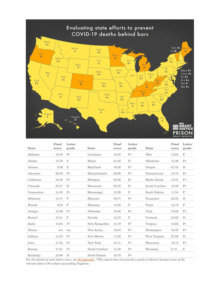

| <b>State</b> | Final<br>score | Letter<br>grade | <b>State</b>   | Final<br>score | Letter<br>grade | <b>State</b>   | Final<br>score | Letter<br>grade |
|--------------|----------------|-----------------|----------------|----------------|-----------------|----------------|----------------|-----------------|
| Alabama      | 16.39          | $F+$            | Louisiana      | 16.30          | $F+$            | Ohio           | 12.63          | $\mathbf F$     |
| Alaska       | 13.79          | $\mathbf F$     | Maine          | 21.22          | $D-$            | Oklahoma       | 15.36          | $F+$            |
| Arizona      | 9.36           | $\mathbf F$     | Maryland       | 16.28          | $F+$            | Oregon         | 21.23          | $D -$           |
| Arkansas     | 20.38          | $F+$            | Massachusetts  | 20.99          | $F+$            | Pennsylvania   | 19.16          | $F+$            |
| California   | 18.36          | $F+$            | Michigan       | 25.82          | $D -$           | Rhode Island   | 15.51          | $F+$            |
| Colorado     | 23.37          | $D-$            | Minnesota      | 23.32          | $D -$           | South Carolina | 15.58          | $F+$            |
| Connecticut  | 14.50          | $F+$            | Mississippi    | 12.29          | F               | South Dakota   | 11.94          | F               |
| Delaware     | 13.71          | $\mathbf F$     | Missouri       | 19.77          | $F+$            | Tennessee      | 26.35          | $D-$            |
| Florida      | 9.04           | F               | Montana        | 13.08          | F               | Texas          | 12.10          | F               |
| Georgia      | 15.06          | $F+$            | Nebraska       | 16.48          | $F+$            | Utah           | 16.69          | $F+$            |
| Hawai'i      | 10.41          | F               | Nevada         | 12.30          | F               | Vermont        | 23.65          | $D -$           |
| Idaho        | 14.63          | $F+$            | New Hampshire  | 14.19          | $F+$            | Virginia       | 16.62          | $F+$            |
| Illinois     | n/a            | n/a             | New Jersey     | 19.93          | $F+$            | Washington     | 19.28          | $F+$            |
| Indiana      | 14.53          | $F+$            | New Mexico     | 17.62          | $F+$            | West Virginia  | 23.59          | $D -$           |
| Iowa         | 17.45          | $F+$            | New York       | 18.11          | $F+$            | Wisconsin      | 16.75          | $F+$            |
| Kansas       | 17.61          | $F+$            | North Carolina | 14.48          | $F+$            | Wyoming        | 8.15           | $\mathbf F$     |
| Kentucky     | 23.90          | $D -$           | North Dakota   | 16.78          | $F+$            |                |                |                 |

*For the details of each state's score, see [the appendix.](https://www.prisonpolicy.org/reports/failing_grades_table.html) \*This report does not provide a grade to Illinois because some of the relevant data is the subject of pending litigation.*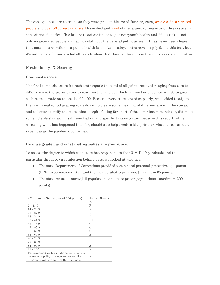The consequences are as tragic as they were predictable: As of June 22, 2020, [over 570 incarcerated](https://docs.google.com/spreadsheets/d/1bTMdmt2IG2UrRDcDhKK2ws_ZS-sXqDsPMVC_2SDb3Lw/edit?usp=sharing)  [people](https://docs.google.com/spreadsheets/d/1bTMdmt2IG2UrRDcDhKK2ws_ZS-sXqDsPMVC_2SDb3Lw/edit?usp=sharing) and [over 50 correctional staff](https://docs.google.com/spreadsheets/d/1bTMdmt2IG2UrRDcDhKK2ws_ZS-sXqDsPMVC_2SDb3Lw/edit?usp=sharing) have died and [most](https://www.nytimes.com/interactive/2020/us/coronavirus-us-cases.html?action=click&module=Top%20Stories&pgtype=Homepage) of the largest coronavirus outbreaks are in correctional facilities. This failure to act continues to put everyone's health and life at risk — not only incarcerated people and facility staff, but the general public as well. It has never been clearer that mass incarceration is a public health issue. As of today, states have largely failed this test, but it's not too late for our elected officials to show that they can learn from their mistakes and do better.

#### Methodology & Scoring

#### **Composite score:**

The final composite score for each state equals the total of all points received ranging from zero to 485. To make the scores easier to read, we then divided the final number of points by 4.85 to give each state a grade on the scale of 0-100. Because every state scored so poorly, we decided to adjust the traditional school grading scale down<sup>1</sup> to create some meaningful differentiation in the scores, and to better identify the states that, despite falling far short of these minimum standards, did make some notable strides. This differentiation and specificity is important because this report, while assessing what has happened thus far, should also help create a blueprint for what states can do to save lives as the pandemic continues.

#### **How we graded and what distinguishes a higher score:**

To assess the degree to which each state has responded to the COVID-19 pandemic and the particular threat of viral infection behind bars, we looked at whether:

- The state Department of Corrections provided testing and personal protective equipment (PPE) to correctional staff and the incarcerated population. (maximum 65 points)
- The state reduced county jail populations and state prison populations. (maximum 300) points)

| <sup>1</sup> Composite Score (out of 100 points)                                                                             | Letter Grade  |
|------------------------------------------------------------------------------------------------------------------------------|---------------|
| $0 - 6.9$                                                                                                                    | F-            |
| $7 - 13.9$                                                                                                                   | F             |
| $14 - 20.9$                                                                                                                  | $F+$          |
| $21 - 27.9$                                                                                                                  | $\Gamma$      |
| $28 - 34.9$                                                                                                                  | D             |
| $35 - 41.9$                                                                                                                  | $D+$          |
| $42 - 48.9$                                                                                                                  | $C_{\tau}$    |
| $49 - 55.9$                                                                                                                  | $\mathcal{C}$ |
| $56 - 62.9$                                                                                                                  | $C+$          |
| $63 - 69.9$                                                                                                                  | B-            |
| $70 - 76.9$                                                                                                                  | B             |
| $77 - 83.9$                                                                                                                  | $B+$          |
| $84 - 90.9$                                                                                                                  | $A -$         |
| $91 - 100$                                                                                                                   | А             |
| 100 combined with a public commitment to<br>permanent policy changes to cement the<br>progress made in the COVID-19 response | $A+$          |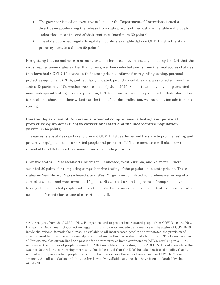- The governor issued an executive order or the Department of Corrections issued a directive — accelerating the release from state prisons of medically vulnerable individuals and/or those near the end of their sentence. (maximum 60 points)
- The state published regularly updated, publicly available data on COVID-19 in the state prison system. (maximum 60 points)

Recognizing that no metrics can account for all differences between states, including the fact that the virus reached some states earlier than others, we then deducted points from the final scores of states that have had COVID-19 deaths in their state prisons. Information regarding testing, personal protective equipment (PPE), and regularly updated, publicly available data was collected from the states' Department of Correction websites in early June 2020. Some states may have implemented more widespread testing — or are providing PPE to all incarcerated people — but if that information is not clearly shared on their website at the time of our data collection, we could not include it in our scoring.

#### **Has the Department of Corrections provided comprehensive testing and personal protective equipment (PPE) to correctional staff and the incarcerated population?**  (maximum 65 points)

The easiest steps states can take to prevent COVID-19 deaths behind bars are to provide testing and protective equipment to incarcerated people and prison staff.<sup>2</sup> These measures will also slow the spread of COVID-19 into the communities surrounding prisons.

Only five states — Massachusetts, Michigan, Tennessee, West Virginia, and Vermont — were awarded 20 points for completing comprehensive testing of the population in state prisons. Three states — New Mexico, Massachusetts, and West Virginia — completed comprehensive testing of all correctional staff and were awarded 15 points. States that are in the process of comprehensive testing of incarcerated people and correctional staff were awarded 5 points for testing of incarcerated people and 5 points for testing of correctional staff.

<sup>2</sup> After request from the ACLU of New Hampshire, and to protect incarcerated people from COVID-19, the New Hampshire Department of Correction began publishing on its website daily metrics on the status of COVID-19 inside the prisons; it made facial masks available to all incarcerated people; and reinstated the provision of alcohol-based hand sanitizer, previously prohibited inside the prison due to alcohol content. The Commissioner of Corrections also streamlined the process for administrative-home-confinement (AHC), resulting in a 100% increase in the number of people released on AHC since March, according to the ACLU-NH. And even while this was not factored into our scoring metrics, it should be noted that the DOC has also instituted a policy that it will not admit people admit people from county facilities where there has been a positive COVID-19 case amongst the jail population and that testing is widely available, actions that have been applauded by the ACLU-NH.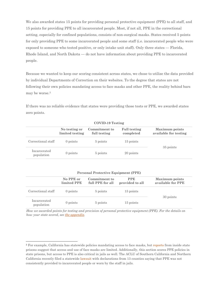We also awarded states 15 points for providing personal protective equipment (PPE) to all staff, and 15 points for providing PPE to all incarcerated people. Most, if not all, PPE in the correctional setting, especially for confined populations, consists of non-surgical masks. States received 5 points for only providing PPE to some incarcerated people and some staff (i.e. incarcerated people who were exposed to someone who tested positive, or only intake unit staff). Only three states — Florida, Rhode Island, and North Dakota — do not have information about providing PPE to incarcerated people.

Because we wanted to keep our scoring consistent across states, we chose to utilize the data provided by individual Departments of Correction on their websites. To the degree that states are not following their own policies mandating access to face masks and other PPE, the reality behind bars may be worse.<sup>3</sup>

If there was no reliable evidence that states were providing those tests or PPE, we awarded states zero points.

|                            | No testing or<br>limited testing | Commitment to<br>full testing | <b>Full testing</b><br>completed | <b>Maximum points</b><br>available for testing |  |  |  |
|----------------------------|----------------------------------|-------------------------------|----------------------------------|------------------------------------------------|--|--|--|
| Correctional staff         | 0 points                         | 5 points                      | 15 points                        |                                                |  |  |  |
| Incarcerated<br>population | 0 points                         | 5 points                      | 20 points                        | 35 points                                      |  |  |  |

**COVID-19 Testing**

| <b>Personal Protective Equipment (PPE)</b> |  |  |
|--------------------------------------------|--|--|
|--------------------------------------------|--|--|

|                            | No PPE or<br>limited PPE | Commitment to<br>full PPE for all | <b>PPE</b><br>provided to all | <b>Maximum</b> points<br>available for PPE |
|----------------------------|--------------------------|-----------------------------------|-------------------------------|--------------------------------------------|
| Correctional staff         | $0$ points               | 5 points                          | 15 points                     |                                            |
| Incarcerated<br>population | $0$ points               | 5 points                          | 15 points                     | 30 points                                  |

*How we awarded points for testing and provision of personal protective equipment (PPE). For the details on how your state scored, see [the appendix](https://www.prisonpolicy.org/reports/failing_grades_table.html)*.

<sup>&</sup>lt;sup>3</sup> For example, California has statewide policies mandating access to face masks, but [reports](https://www.theguardian.com/us-news/2020/may/20/california-prisons-covid-19-outbreak-deaths) from inside state prisons suggest that access and use of face masks are limited. Additionally, this section scores PPE policies in state prisons, but access to PPE is also critical in jails as well. The ACLU of Southern California and Northern California recently filed a statewid[e lawsuit](https://www.aclusocal.org/sites/default/files/aclu_socal_nacdl_20200424_petition_writ_mandate.pdf) with declarations from 13 counties saying that PPE was not consistently provided to incarcerated people or worn by the staff in jails.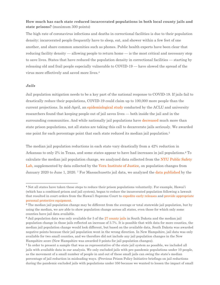#### **How much has each state reduced incarcerated populations in both local county jails and state prisons?** (maximum 300 points)

The high rate of coronavirus infections and deaths in correctional facilities is due to their population density: incarcerated people frequently have to sleep, eat, and shower within a few feet of one another, and share common amenities such as phones. Public health experts have been clear that reducing facility density — allowing people to return home — is the most critical and necessary step to save lives. States that have reduced the population density in correctional facilities — starting by releasing old and frail people especially vulnerable to COVID-19 — have slowed the spread of the virus more effectively and saved more lives.<sup>4</sup>

#### *Jails*

 $\overline{a}$ 

Jail population mitigation needs to be a key part of the national response to COVID-19. If jails fail to drastically reduce their populations, COVID-19 could claim up to 100,000 more people than the current projections. In mid-April, an [epidemiological study](https://www.aclu.org/report/flattening-curve-why-reducing-jail-populations-key-beating-covid-19) conducted by the ACLU and university researchers found that keeping people out of jail saves lives — both inside the jail and in the surrounding communities. And while nationally jail populations have [decreased](https://www.prisonpolicy.org/blog/2020/05/14/jails-vs-prison-update/) much more than state prison populations, not all states are taking this call to decarcerate jails seriously. We awarded one point for each percentage point that each state reduced its median jail population.<sup>5</sup>

The median jail population reductions in each state vary drastically from a 42% reduction in Arkansas to only 2% in Texas, and some states appear to have had increases in jail populations.<sup>6</sup> To calculate the median jail population change, we analyzed data collected from the [NYU Public Safety](https://github.com/publicsafetylab/PublicJDI)  [Lab,](https://github.com/publicsafetylab/PublicJDI) supplemented by data collected by the [Vera Institute of Justice,](https://github.com/vera-institute/jail-population-data) on population changes from January 2020 to June 1, 2020. <sup>7</sup> For Massachusetts jail data, we analyzed the [data published](https://data.aclum.org/sjc-12926-tracker/) by the

<sup>4</sup> Not all states have taken these steps to reduce their prison populations voluntarily. For example, Hawai'i (which has a combined prison and jail system), began to reduce the incarcerated population following a lawsuit that resulted in court orders from the Hawai'i Supreme Court to [expedite early releases](https://www.staradvertiser.com/2020/04/13/hawaii-news/jail-populations-drop-amid-virus-pandemic/) and [provide appropriate](https://www.staradvertiser.com/2020/04/26/hawaii-news/hawaii-supreme-court-order-mandates-quicker-release-of-non-violent-inmates/)  [personal protective equipment.](https://www.staradvertiser.com/2020/04/26/hawaii-news/hawaii-supreme-court-order-mandates-quicker-release-of-non-violent-inmates/)

<sup>5</sup> The median jail population change may be different from the average or total statewide jail population, but by using the median, we are able to show population change across all states, even those for which only some counties have jail data available.

<sup>&</sup>lt;sup>6</sup> Jail population data was only available for 5 of the [27 county jails](https://nicic.gov/state-statistics/2017/south-dakota) in South Dakota and the median jail population change in those jails reflected an increase of 3.7%. It is possible that with data for more counties, the median jail population change would look different, but based on the available data, South Dakota was awarded negative points because their jail population went in the wrong direction. In New Hampshire, jail data was only available for two small counties, and we therefore did not include any jail population changes in the New Hampshire score (New Hampshire was awarded 0 points for jail population changes).

<sup>7</sup> In order to present a sample that was as representative of the state jail system as possible, we included all jails with available data in our analysis. We only excluded jails with pre-pandemic populations under 10 people, as the movement of a small number of people in and out of these small jails can swing the state's median percentage of jail reduction in misleading ways. (Previous Prison Policy Initiative briefings on jail reductions during the pandemic excluded jails with populations under 350 because we wanted to lessen the impact of small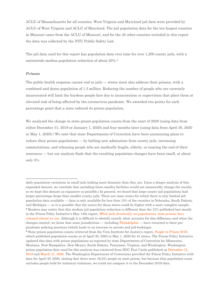ACLU of Massachusetts for all counties. West Virginia and Maryland jail data were provided by ACLU of West Virginia and ACLU of Maryland. The jail population data for the ten largest counties in Missouri came from the ACLU of Missouri, and for the 35 other counties included in this report the data was collected by the NYU Public Safety Lab.

The jail data used for this report has population data over time for over 1,200 county jails, with a nationwide median population reduction of about 20%.<sup>8</sup>

#### *Prisons*

The public health response cannot end in jails — states must also address their prisons, with a combined and dense population of 1.3 million. Reducing the number of people who are currently incarcerated will limit the burdens people face due to incarceration or supervision that place them at elevated risk of being affected by the coronavirus pandemic. We awarded two points for each percentage point that a state reduced its prison population.

We analyzed the change in state prison population counts from the start of 2020 (using data from either December 31, 2019 or January 1, 2020) and four months later (using data from April 30, 2020 or May 1, 2020).<sup>9</sup> We note that state Departments of Correction have been announcing plans to reduce their prison populations — by halting new admissions from county jails, increasing commutations, and releasing people who are medically fragile, elderly, or nearing the end of their sentences — but our analysis finds that the resulting population changes have been small, at about only 5%.

daily population variations in small jails looking more dramatic than they are. Upon a deeper analysis of this expanded dataset, we conclude that excluding these smaller facilities would not measurably change the results, so we kept this dataset as expansive as possible.) In general, we found that large county jail populations had larger percentage drops than smaller county jails. There are some states for which there is only limited jail population data available — data is only available for less than 15% of the counties in Nebraska, South Dakota, and Michigan — so it is possible that the scores for these states could be higher with a more complete sample. <sup>8</sup> Readers may notice that this median jail population reduction is different than the 31% published last month in the Prison Policy Initiative's May 14th report, *[While jails drastically cut populations, state prisons have](https://www.prisonpolicy.org/blog/2020/05/14/jails-vs-prison-update/)  [released almost no one](https://www.prisonpolicy.org/blog/2020/05/14/jails-vs-prison-update/)*. Although it is difficult to identify exactly what accounts for this difference and when the changes started, we know that some jurisdictions — including [Philadelphia](https://www.inquirer.com/news/philadelphia/coronavirus-philadelphia-police-arrests-theft-burglary-covid-19-20200501.html) — have returned to their prepandemic policing practices (which leads to an increase in arrests and jail bookings).

<sup>9</sup> State prison population counts retrieved from the Vera Institute for Justice's report[, People in Prison 2019,](https://www.vera.org/publications/people-in-prison-in-2019) which published population counts as of April 30, 2020 or May 1, 2020 for 41 states. The Prison Policy Initiative updated this data with prison populations as reported by state Departments of Correction for Minnesota, Montana, New Hampshire, New Mexico, South Dakota, Tennessee, Virginia, and Washington. Washington prison population data used for this analysis was retrieved from DOC Fact Cards published on [December 31,](https://www.doc.wa.gov/docs/publications/reports/100-QA001-1912.pdf)  [2019](https://www.doc.wa.gov/docs/publications/reports/100-QA001-1912.pdf) an[d March 31, 2020.](https://www.doc.wa.gov/docs/publications/reports/100-QA001.pdf) The Washington Department of Corrections provided the Prison Policy Initiative with data for April 30, 2020, stating that there were 16,531 people in state prison, but because that population count excludes people held for technical violations, we could not compare it to the December 2019 data.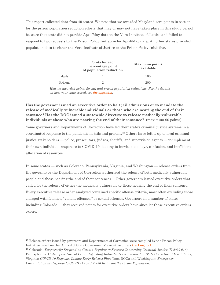This report collected data from 49 states. We note that we awarded Maryland zero points in section for the prison population reduction efforts that may or may not have taken place in this study period because that state did not provide April/May data to the Vera Institute of Justice and failed to respond to two requests by the Prison Policy Initiative for April/May data. All other states provided population data to either the Vera Institute of Justice or the Prison Policy Initiative.

|         | Points for each<br>percentage point<br>of population reduction | <b>Maximum</b> points<br>available |
|---------|----------------------------------------------------------------|------------------------------------|
| Jails   |                                                                | 100                                |
| Prisons |                                                                | 200                                |

*How we awarded points for jail and prison population reductions. For the details on how your state scored, se[e the appendix](https://www.prisonpolicy.org/reports/failing_grades_table.html)*.

#### **Has the governor issued an executive order to halt jail admissions or to mandate the release of medically vulnerable individuals or those who are nearing the end of their sentence? Has the DOC issued a statewide directive to release medically vulnerable individuals or those who are nearing the end of their sentence?** (maximum 90 points)

Some governors and Departments of Correction have led their state's criminal justice systems in a coordinated response to the pandemic in jails and prisons.<sup>10</sup> Others have left it up to local criminal justice stakeholders — police, prosecutors, judges, sheriffs, and supervision agents — to implement their own individual responses to COVID-19, leading to inevitable delays, confusion, and inefficient allocation of resources.

In some states — such as Colorado, Pennsylvania, Virginia, and Washington — release orders from the governor or the Department of Correction authorized the release of both medically vulnerable people and those nearing the end of their sentences.<sup>11</sup> Other governors issued executive orders that called for the release of either the medically vulnerable *or* those nearing the end of their sentence. Every executive release order analyzed contained specific offense criteria, most often excluding those charged with felonies, "violent offenses," or sexual offenses. Governors in a number of states including Colorado — that received points for executive orders have since let these executive orders expire.

 $\overline{a}$ 

<sup>10</sup> Release orders issued by governors and Departments of Correction were compiled by the Prison Policy Initiative based on the Council of State Governments' executive orders [tracking tool.](https://web.csg.org/covid19/executive-orders/)

<sup>11</sup> Colorado: *Temporarily Suspending Certain Regulatory Statutes Concerning Criminal Justice (D 2020 016)*; Pennsylvania: *Order of the Gov. of Penn. Regarding Individuals Incarcerated in State Correctional Institutions*; Virginia: *COVID-19 Response Inmate Early Release Plan* (from DOC); and Washington: *Emergency Commutation in Response to COVID-19 and 20-50 Reducing the Prison Population*.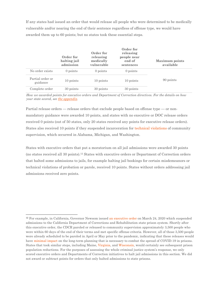If any states had issued an order that would release all people who were determined to be medically vulnerable and/or nearing the end of their sentence regardless of offense type, we would have awarded them up to 60 points; but no states took these essential steps.

|                              | Order for<br>halting jail<br>admission | Order for<br>releasing<br>medically<br>vulnerable | Order for<br>releasing<br>people near<br>end of<br>sentences | <b>Maximum</b> points<br>available |
|------------------------------|----------------------------------------|---------------------------------------------------|--------------------------------------------------------------|------------------------------------|
| No order exists              | 0 points                               | 0 points                                          | $0$ points                                                   |                                    |
| Partial order or<br>guidance | 10 points                              | 10 points                                         | 10 points                                                    | 90 points                          |
| Complete order               | 30 points                              | 30 points                                         | 30 points                                                    |                                    |

*How we awarded points for executive orders and Department of Correction directives. For the details on how your state scored, see [the appendix](https://www.prisonpolicy.org/reports/failing_grades_table.html)*.

Partial release orders — release orders that exclude people based on offense type — or nonmandatory guidance were awarded 10 points, and states with no executive or DOC release orders received 0 points (out of 50 states, only 20 states received any points for executive release orders). States also received 10 points if they suspended incarceration for [technical violations](https://www.prisonpolicy.org/blog/2020/03/18/detainers/) of community supervision, which occurred in Alabama, Michigan, and Washington.

States with executive orders that put a moratorium on all jail admissions were awarded 30 points (no states received all 30 points).<sup>12</sup> States with executive orders or Department of Correction orders that halted some admissions to jails, for example halting jail bookings for certain misdemeanors or technical violations of probation or parole, received 10 points. States without orders addressing jail admissions received zero points.

<sup>&</sup>lt;sup>12</sup> For example, in California, Governor Newsom issued [an executive order](https://drive.google.com/open?id=1g1TCcfu_K8hfjq0BN0bV3q1Dhd2_YyWo) on March 24, 2020 which suspended admissions to the California Department of Corrections and Rehabilitation state prison system. Shortly after this executive order, the CDCR paroled or released to community supervision approximately 3,500 people who were within 60 days of the end of their terms and met specific offense criteria. However, all of those 3,500 people were already scheduled to be paroled in April or May prior to the pandemic, indicating that these releases would have [minimal impact](https://www.sfchronicle.com/crime/article/Federal-judge-San-Quentin-COVID-19-outbreak-15358348.php) on the long-term planning that is necessary to combat the spread of COVID-19 in prisons. States that took similar steps, including Maine[, Virginia,](https://www.governor.virginia.gov/newsroom/all-releases/2020/march/headline-853537-en.html) and [Wisconsin,](https://evers.wi.gov/Documents/COVID19/EMO09-DOC.pdf) would certainly see subsequent prison population reductions. For the purposes of assessing the whole criminal justice system's response, we only scored executive orders and Departments of Correction initiatives to halt jail admissions in this section. We did not award or subtract points for orders that only halted admissions to state prisons.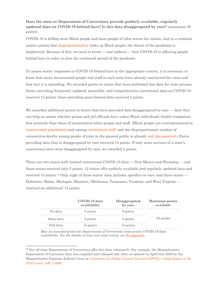#### **Does the state or Department of Corrections provide publicly available, regularly updated data on COVID-19 behind bars? Is this data disaggregated by race?** (maximum 30 points)

COVID-19 is killing more Black people and more people of color across the nation. And in a criminal justice system that [disproportionately](https://www.prisonpolicy.org/blog/2016/08/15/cjrace/) locks up Black people, the threat of the pandemic is heightened. Because of this, we need to know — and address — how COVID-19 is affecting people behind bars in order to slow the continued spread of the pandemic.

To assess states' responses to COVID-19 behind bars in the appropriate context, it is necessary to know how many incarcerated people and staff in each state have already contracted the virus and how fast it is spreading. We awarded points to states that have published this data for state prisons. States providing frequently updated, accessible, and comprehensive correctional data on COVID-19 received 15 points; those providing more limited data received 5 points.

We awarded additional points to states that have provided data disaggregated by race — data that can help us assess whether prison and jail officials have taken Black individuals' health complaints less seriously than those of incarcerated white people and staff. (Black people are overrepresented in [incarcerated populations](https://www.prisonpolicy.org/reports/rates.html) and among [correctional staff,](https://www.aclu.org/news/smart-justice/new-model-shows-reducing-jail-population-will-lower-covid-19-death-toll-for-all-of-us/) and the disproportionate number of coronavirus deaths among people of color in the general public is already [well documented.](https://www.washingtonpost.com/nation/2020/04/07/coronavirus-is-infecting-killing-black-americans-an-alarmingly-high-rate-post-analysis-shows/?arc404=true)) States providing data that is disaggregated by race received 15 points. If only some sections of a state's correctional data were disaggregated by race, we awarded 5 points.

There are two states with limited correctional COVID-19 data — New Mexico and Wyoming — and those states received only 5 points. 12 states offer publicly available and regularly updated data and received 15 points.<sup>13</sup> Only eight of those states' data includes specifics on race; and those states — Delaware, Maine, Michigan, Missouri, Oklahoma, Tennessee, Vermont, and West Virginia received an *additional* 15 points.

|           | COVID-19 data<br>availability | Disaggregated<br>by race | <b>Maximum</b> points<br>available |
|-----------|-------------------------------|--------------------------|------------------------------------|
| No data   | $0$ points                    | 0 points                 |                                    |
| Some data | 5 points                      | 5 points                 | 30 points                          |
| Full data | 15 points                     | 15 points                |                                    |

*How we awarded points for Departments of Corrections' state prison COVID-19 data availability. For the details on how your state scored, see [the appendix](https://www.prisonpolicy.org/reports/failing_grades_table.html)*.

<sup>13</sup> Not all state Departments of Corrections offer this data voluntarily. For example, the Massachusetts Department of Correction data was compiled and released only after an opinion on April 3rd, 2020 by the Massachusetts Supreme Judicial Court in *[Committee for Public Counsel Services \(CPCS\) v. Chief Justice of the](https://www.aclum.org/en/cases/committee-public-counsel-services-v-chief-justice-trial-court)  [Trial Court, SJC-12926](https://www.aclum.org/en/cases/committee-public-counsel-services-v-chief-justice-trial-court)*.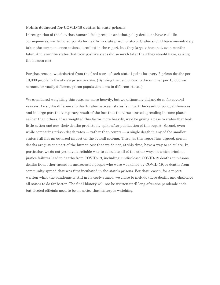#### **Points deducted for COVID-19 deaths in state prisons**

In recognition of the fact that human life is precious and that policy decisions have real life consequences, we deducted points for deaths in state prison custody. States should have immediately taken the common-sense actions described in the report, but they largely have not, even months later. And even the states that took positive steps did so much later than they should have, raising the human cost.

For that reason, we deducted from the final score of each state 1 point for every 5 prison deaths per 10,000 people in the state's prison system. (By tying the deductions to the number per 10,000 we account for vastly different prison population sizes in different states.)

We considered weighting this outcome more heavily, but we ultimately did not do so for several reasons. First, the difference in death rates between states is in part the result of policy differences and in large part the temporary result of the fact that the virus started spreading in some places earlier than others. If we weighted this factor more heavily, we'd be giving a pass to states that took little action and saw their deaths predictably spike after publication of this report. Second, even while comparing prison death rates — rather than counts — a single death in any of the smaller states still has an outsized impact on the overall scoring. Third, as this report has argued, prison deaths are just one part of the human cost that we do not, at this time, have a way to calculate. In particular, we do not yet have a reliable way to calculate all of the other ways in which criminal justice failures lead to deaths from COVID-19, including: undisclosed COVID-19 deaths in prisons, deaths from other causes in incarcerated people who were weakened by COVID-19, or deaths from community spread that was first incubated in the state's prisons. For that reason, for a report written while the pandemic is still in its early stages, we chose to include these deaths and challenge all states to do far better. The final history will not be written until long after the pandemic ends, but elected officials need to be on notice that history is watching.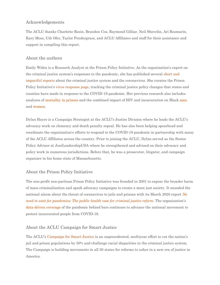#### Acknowledgements

The ACLU thanks Charlotte Resin, Brandon Cox, Raymond Gilliar, Neil Shovelin, Ari Rosmarin, Kary Moss, Udi Ofer, Taylor Pendergrass, and ACLU Affiliates and staff for their assistance and support in compiling this report.

#### About the authors

Emily Widra is a Research Analyst at the Prison Policy Initiative. As the organization's expert on the criminal justice system's responses to the pandemic, she has published several [short and](https://www.prisonpolicy.org/virus/)  [impactful reports](https://www.prisonpolicy.org/virus/) about the criminal justice system and the coronavirus. She curates the Prison Policy Initiative's [virus response page,](https://www.prisonpolicy.org/virusresponse.html) tracking the criminal justice policy changes that states and counties have made in response to the COVID-19 pandemic. Her previous research also includes analyses of [mortality in prisons](https://www.prisonpolicy.org/blog/2020/02/13/prisondeaths/) and the combined impact of HIV and incarceration on Black [men](https://www.prisonpolicy.org/blog/2017/09/08/hiv_men/) and [women.](https://www.prisonpolicy.org/blog/2017/05/08/hiv/)

Dylan Hayre is a Campaign Strategist at the ACLU's Justice Division where he leads the ACLU's advocacy work on clemency and death penalty repeal. He has also been helping spearhead and coordinate the organization's efforts to respond to the COVID-19 pandemic in partnership with many of the ACLU Affiliates across the country. Prior to joining the ACLU, Dylan served as the Senior Policy Advisor at JustLeadershipUSA where he strengthened and advised on their advocacy and policy work in numerous jurisdictions. Before that, he was a prosecutor, litigator, and campaign organizer in his home state of Massachusetts.

#### About the Prison Policy Initiative

The non-profit non-partisan Prison Policy Initiative was founded in 2001 to expose the broader harm of mass criminalization and spark advocacy campaigns to create a more just society. It sounded the national alarm about the threat of coronavirus to jails and prisons with its March 2020 report *[No](https://www.prisonpolicy.org/blog/2020/03/06/pandemic/)  [need to wait for pandemics: The public health case for criminal justice reform](https://www.prisonpolicy.org/blog/2020/03/06/pandemic/)*[.](https://www.prisonpolicy.org/blog/2020/03/06/pandemic/) The organization's [data-driven coverage](https://www.prisonpolicy.org/virus/index.html) of the pandemic behind bars continues to advance the national movement to protect incarcerated people from COVID-19.

#### About the ACLU Campaign for Smart Justice

The ACLU's [Campaign for Smart Justice](https://www.aclu.org/issues/smart-justice?redirect=issues/mass-incarceration/smart-justice/campaign-smart-justice) is an unprecedented, multiyear effort to cut the nation's jail and prison populations by 50% and challenge racial disparities in the criminal justice system. The Campaign is building movements in all 50 states for reforms to usher in a new era of justice in America.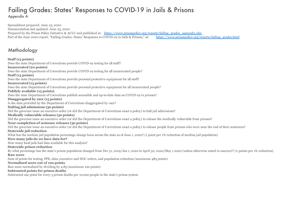## Failing Grades: States' Responses to COVID-19 in Jails & Prisons Appendix A

Spreadsheet prepared: June 25, 2020 Documentation last updated: June 25, 2020 Prepared by the Prison Policy Initiative & ACLU and published at: https://www.prisonpolicy.org/reports/failing\_grades\_appendix.xlsx Part of the June 2020 report, "Failing Grades: States' Responses to COVID-19 in Jails & Prisons," at: https://www.prisonpolicy.org/reports/failing\_grades.html

## Methodology

**Staff (15 points)** Does the state Department of Corrections provide COVID-19 testing for all staff? **Incarcerated (20 points)** Does the state Department of Corrections provide COVID-19 testing for all incarcerated people? **Staff (15 points)** Does the state Department of Corrections provide personal protective equipment for all staff? **Incarcerated (15 points)** Does the state Department of Corrections provide personal protective equipment for all incarcerated people? **Publicly available (15 points)** Does the state Department of Corrections publish accessible and up-to-date data on COVID-19 in prisons? **Disaggregated by race (15 points)** Is the data provided by the Department of Corrections diaggregated by race? **Halting jail admissions (30 points)** Did the governor issue an executive order (or did the Department of Corrections enact a policy) to halt jail admissions? **Medically vulnerable releases (30 points)** Did the governor issue an executive order (or did the Department of Corrections enact a policy) to release the medically vulnerable from prisons? **Near-completion of sentence releases (30 points)** Did the governor issue an executive order (or did the Department of Corrections enact a policy) to release people from prisons who were near the end of their sentences? **Statewide jail reduction**  What has the median jail population percentage change been across the state as of June 1, 2020? (1 point per 1% reduction of median jail population) **How many jails do we have data for?** How many local jails had data available for this analysis? **Statewide prison reduction** By what percentage has the state's prison population changed from Dec 31, 2019/Jan 1, 2020 to April 30, 2020/May 1 2020 (unless otherwise noted in sources)? (2 points per 1% reduction) **Raw score** Sum of points for testing, PPE, data, executive and DOC orders, and population reduction (maximum 485 points) **Normalized score out of 100 points** Raw score normalized by dividing by 4.85 (maximum 100 points) **Subtracted points for prison deaths** Subtracted one point for every 5 prison deaths per 10,000 people in the state's prison system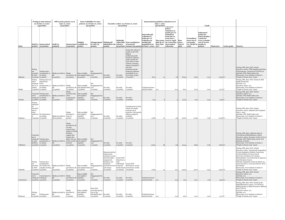|                   | <b>Testing in state prisons</b><br>as of June 10, 2020<br>(35 points) |                                                                                                                    | PPE in state prisons as of<br>Data availability for state<br>June 10, 2020<br>prisons as of June 10, 2020<br>(30 points)<br>(30 points) |                                                                                                                                                                                  | Executive orders as of June 10, 2020<br>(90 points)                               |                                                                                           |                                                                                                                                                                                                | Incarcerated population reduction as of<br>June 1, 2020<br>(300 points)<br>Grade |                                                                                                                                                                                                                                                                                               |                                                                                                 |           |                                                                                                                                                                                                       |                        |                                                                                        |                                                                                                          |                    |              |                                                                                                                                                                                                                                                                                                                                                                                                                                                          |
|-------------------|-----------------------------------------------------------------------|--------------------------------------------------------------------------------------------------------------------|-----------------------------------------------------------------------------------------------------------------------------------------|----------------------------------------------------------------------------------------------------------------------------------------------------------------------------------|-----------------------------------------------------------------------------------|-------------------------------------------------------------------------------------------|------------------------------------------------------------------------------------------------------------------------------------------------------------------------------------------------|----------------------------------------------------------------------------------|-----------------------------------------------------------------------------------------------------------------------------------------------------------------------------------------------------------------------------------------------------------------------------------------------|-------------------------------------------------------------------------------------------------|-----------|-------------------------------------------------------------------------------------------------------------------------------------------------------------------------------------------------------|------------------------|----------------------------------------------------------------------------------------|----------------------------------------------------------------------------------------------------------|--------------------|--------------|----------------------------------------------------------------------------------------------------------------------------------------------------------------------------------------------------------------------------------------------------------------------------------------------------------------------------------------------------------------------------------------------------------------------------------------------------------|
| <b>State</b>      |                                                                       | Staff (15 Incarcerated<br>points) (20 points)                                                                      | Staff (15<br>points) <sub>2</sub>                                                                                                       | $(15$ points)                                                                                                                                                                    | Publicly<br>Incarcerated available (15<br>points)                                 | Disaggregated Halting jail<br>by race $(15$<br>points)                                    | admissions (30 releases<br>points)                                                                                                                                                             | Medically                                                                        | vulnerable Near-completion<br>of sentence<br>(30 points) releases (30 points) of June 1, 2020 for?                                                                                                                                                                                            | Statewide jail<br>reduction (1<br>point per 1%<br>reduction of<br>median jail<br>population) as |           | statewide<br>prison<br>reduction (2<br>points per 1%<br>reduction)<br>from Dec 31,<br>2019/Jan 1.<br>How many 2020 to April<br>jails do we 30, 2020/May 1 score<br>have data 2020 unless<br>otherwise | Raw<br>(out of<br>485) | <b>Normalized</b><br>score out of<br>100 points<br>(i.e. divide by people in<br>(4.85) | Subtracted<br>points for<br>prison deaths (<br>1 point for<br>every 5 deaths<br>out of 10,000<br>prison) | <b>Final score</b> | Letter grade | <b>Sources</b>                                                                                                                                                                                                                                                                                                                                                                                                                                           |
|                   | Testing<br>not<br>by DOC                                              | Testing when<br>provided symptomatic or<br>in contact                                                              | Masks provided to Masks                                                                                                                 |                                                                                                                                                                                  | Data available<br>provided to all and updated daily race                          | disaggregated by                                                                          | No order                                                                                                                                                                                       | No order                                                                         | Orders the release of<br>people in jail with<br>alleged<br>probation/parole<br>technical violations<br>under custody for<br>more than 20 days<br>wihtout a hearing:<br>release of people in<br>jail with<br>probation/parole<br>technical violations<br>punishable by no<br>more than 45 days |                                                                                                 |           |                                                                                                                                                                                                       |                        |                                                                                        |                                                                                                          |                    |              | Testing, PPE, data: DOC website<br>Executive orders: Fifth Supplemental State<br>of Emergency: Coronavirus (COVID-19)<br>Jail data: NYU Public Safety Lab<br>Prison data: Vera Institute of Justice's                                                                                                                                                                                                                                                    |
| Alabama<br>Alaska | Testing<br>when<br>symptom<br>contact                                 | (o points) (o points)<br>Testing only net<br>admissions,<br>when<br>atic or in symptomatic, or<br>in contact       | (15 points)<br>Masks provided to Masks                                                                                                  | $(15 \text{ points})$<br>provided to all                                                                                                                                         | $(15 \text{ points})$<br>Data available<br>and updated daily race                 | (o points)<br>disaggregated by                                                            | (o points)<br>No order<br>(o points)                                                                                                                                                           | (o points)<br>No order                                                           | (10 points)<br>No order                                                                                                                                                                                                                                                                       | 18.14<br>Combined prison<br>and jail system                                                     | 31<br>n/a | 7.8<br>21.5                                                                                                                                                                                           | 80.94<br>66.9          | 16.69<br>13.79                                                                         | 0.29<br>0.00                                                                                             | $16.39$ F+         |              | "People in Prison 2019" report<br>Testing, PPE, data: DOC website & DOC<br>public statements<br>Ĵail data: n/a<br>Executive orders: n/a<br>Prison data: Vera Institute of Justice's                                                                                                                                                                                                                                                                      |
| Arizona           | ent to                                                                | (o points) (o points)<br>Commitm Testing when<br>symptomatic or<br>testing all in contact<br>(5 points) (0 points) | $(15$ points)<br>Masks provided to when<br>(15 points)                                                                                  | (15 points)<br>Masks<br>provided only<br>symptomatic<br>(o points)                                                                                                               | (15 points)<br>Data available<br>and updated<br>regularly<br>(15 points)          | (o points)<br>Not<br>disaggregated by<br>race<br>(o points)                               | No order<br>(o points)                                                                                                                                                                         | (o points)<br>No order<br>$(o \text{ points})$                                   | (o points)<br>No order<br>(o points)                                                                                                                                                                                                                                                          | 7.03                                                                                            |           |                                                                                                                                                                                                       | 47.03                  | 9.70                                                                                   | 0.34                                                                                                     | 13.79 F<br>9.36 F  |              | People in Prison 2019" report<br>Testing, PPE, data: DOC website<br>Executive orders: n/a<br>Jail data: NYU Public Safety Lab<br>Prison data: Vera Institute of Justice's<br>"People in Prison 2019" report                                                                                                                                                                                                                                              |
| Arkansas          | Testing<br>informati<br>on<br>provided<br>only in<br>press            | conferenc No information<br>on testing<br>(o points) (o points)                                                    | Masks provided to some (o<br>all (15 points)                                                                                            | Masks<br>provided to<br>points)                                                                                                                                                  | Data available<br>and updated<br>regularly<br>(15 points)                         | Not<br>disaggregated by<br>race<br>(o points)                                             | No order<br>(o points)                                                                                                                                                                         | No order<br>(o points)                                                           | <b>Consideration of early</b><br>release for people<br>nearing end of<br>sentence, with specific<br>offense categories<br>excluded<br>(10 points)                                                                                                                                             | 41.86                                                                                           |           |                                                                                                                                                                                                       | 101.66                 | 20.96                                                                                  | 0.58                                                                                                     | $20.38$ F+         |              | Testing, PPE, data: DOC website<br>Executive orders: Modified EPA Updated,<br>June 1, 2020<br>Jail data: NYU Public Safety Lab<br>Prison data: Vera Institute of Justice's<br>People in Prison 2019" report                                                                                                                                                                                                                                              |
| California        | Commitm<br>ent to<br>facilities                                       | testing all Testing when<br>in some symptomatic or<br>in contact<br>(5 points) (0 points)                          | Masks provided to of face masks is and updated<br>$(15$ points)                                                                         | Masks<br>provided to all<br>$($ of note.<br>reports from<br>inside of CDCR<br>facilities<br>suggest that<br>despite this<br>policy, the use<br>limited)<br>$(15 \text{ points})$ | Data available<br>regularly<br>$(15 \text{ points})$                              | Not<br>disaggregated by<br>race<br>(o points)                                             | No order<br>(o points)                                                                                                                                                                         | No order<br>(o points)                                                           | No order<br>(o points)                                                                                                                                                                                                                                                                        | 30.63                                                                                           | 58        | $Q_i$                                                                                                                                                                                                 | 90.43                  | 18.65                                                                                  | 0.28                                                                                                     | $18.36$ F+         |              | Testing, PPE, data: California Dept of<br>Corrections & Rehabilitation website<br>Executive orders: Executive Order N-36-20<br>Jail data: NYU Public Safety Lab & Vera<br>Institute of Justice<br>Prison data: Vera Institute of Justice's<br>"People in Prison 2019" report                                                                                                                                                                             |
| Colorado          | Testing<br>not<br>provided<br>by DOC                                  | Testing when<br>symptomatic:<br>one facility had<br>complete testing<br>(o points) (5 points)                      | Masks provided to Masks<br>(15 points)                                                                                                  | $(15 \text{ points})$                                                                                                                                                            | Data available<br>provided to all and updated daily race<br>$(15 \text{ points})$ | disaggregated by<br>(o points)                                                            | Recommends law<br>enforcement<br>minimize arrests<br>and jail intakes, Grants DOC<br>suspend jail<br>transfers, and<br>maximize<br>pretrial diversion to Special<br>and release<br>(10 points) | discretion to<br>refer<br>individuals<br>(10 points) (10 points)                 | Grants DOC<br>discretion to award<br>Needs Parole earned time credits                                                                                                                                                                                                                         | 21.84                                                                                           | 12        | 13.                                                                                                                                                                                                   | 114.94                 | 23.70                                                                                  | 0.33                                                                                                     | 23.37 D-           |              | Testing, PPE, data: DOC website<br>Executive orders: Temporarily Suspending<br>Certain Regulatory Statutes Concerning<br>Criminal Justice (D 2020 016) &<br>Governor's Guidance To Counties.<br>Municipalities, Law Enforcement Agencies,<br>And Detention Centers<br>Jail data: Population counts for March 26,<br>2020 and June 4, 2020 provided by ACLU<br>of Colorado.<br>Prison data: Vera Institute of Justice's<br>"People in Prison 2019" report |
| Connecticut       | Commitm<br>ent to<br>testing all testing all                          | Commitment to<br>(5 points) (5 points)                                                                             | Masks provided to Masks<br>$(15$ points)                                                                                                | provided to all<br>$(15 \text{ points})$                                                                                                                                         | Data available<br>and updated<br>regularly<br>(15 points)                         | Not<br>disaggregated by<br>race<br>$(o$ points)                                           | No order<br>(o points)                                                                                                                                                                         | No order<br>(o points)                                                           | No order<br>(o points)                                                                                                                                                                                                                                                                        | Combined prison<br>and jail system                                                              | n/a       | 21.5                                                                                                                                                                                                  | 76.5                   | 15.77                                                                                  | 1.28                                                                                                     | $14.50$ F+         |              | Testing, PPE, data: DOC website<br>Executive orders: n/a<br>Jail data: n/a<br>Prison data: Vera Institute of Justice's<br>"People in Prison 2019" report                                                                                                                                                                                                                                                                                                 |
| Delaware          | Testing<br>some                                                       | Testing some<br>(o points) (o points)                                                                              | Masks provided to provided to<br>(15 points)                                                                                            | Masks<br>some<br>(o points)                                                                                                                                                      | Data available<br>and updated<br>regularly<br>(15 points)                         | State DOC<br>provided data by<br>race to the<br>Marshall Project<br>$(15 \text{ points})$ | No order<br>(o points)                                                                                                                                                                         | No order<br>(o points)                                                           | No order<br>(o points)                                                                                                                                                                                                                                                                        | Combined prison<br>and jail system                                                              | n/a       | 21.5                                                                                                                                                                                                  | 66.5                   | 13.71                                                                                  | 0.00                                                                                                     | 13.71 F            |              | Testing, PPE, data: DOC website & the<br>Marshall Project's report, "Is COVID-19<br>Falling Harder on Black Prisoners? Officials<br>Won't Tell Us"<br>Executive orders: n/a<br>Jail data: n/a<br>Prison data: Vera Institute of Justice's<br>"People in Prison 2019" report                                                                                                                                                                              |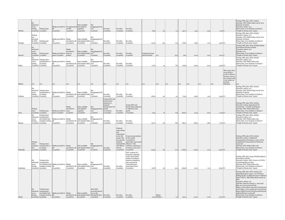| Florida   | No<br>informati<br>on on<br>testing | Testing some<br>(o points) (o points)                                                                     | Masks provided to No information and updated<br>(15 points) | on ${\tt PPE}$<br>(o points) | Data available<br>regularly<br>(15 points)                                                   | Not<br>disaggregated by<br>race<br>(o points)                         | No order<br>(o points)                                                                                                 | No order<br>(o points)                                                             | No order<br>(o points)                                                                                                                                                                                                                            | 8.52                               | 64                          | 7.2  | 45.72  | 9.43  | 0.39 | $9.04$ F   |                                                                                                                                               | Testing, PPE, data: DOC website<br>Jail data: NYU Public Safety Lab & Vera<br>Institute of Justice<br>Executive orders: n/a<br>Prison data: Vera Institute of Justice's<br>'People in Prison 2019" report                                                                                                                                                                                                                                                                                                                     |
|-----------|-------------------------------------|-----------------------------------------------------------------------------------------------------------|-------------------------------------------------------------|------------------------------|----------------------------------------------------------------------------------------------|-----------------------------------------------------------------------|------------------------------------------------------------------------------------------------------------------------|------------------------------------------------------------------------------------|---------------------------------------------------------------------------------------------------------------------------------------------------------------------------------------------------------------------------------------------------|------------------------------------|-----------------------------|------|--------|-------|------|------------|-----------------------------------------------------------------------------------------------------------------------------------------------|-------------------------------------------------------------------------------------------------------------------------------------------------------------------------------------------------------------------------------------------------------------------------------------------------------------------------------------------------------------------------------------------------------------------------------------------------------------------------------------------------------------------------------|
| Georgia   | Testing<br>not<br>provided          | by DOC Testing some<br>(o points) (o points)                                                              | Masks provided to Masks<br>$(15 \text{ points})$            | $(15 \text{ points})$        | Data available<br>provided to all and updated daily race<br>$(15$ points)                    | Not<br>disaggregated by<br>(o points)                                 | No order<br>(o points)                                                                                                 | No order<br>(o points)                                                             | No order<br>(o points)                                                                                                                                                                                                                            | 24.76                              | 142                         | 6.9  | 76.66  | 15.81 | 0.75 |            | $15.06$ $F+$                                                                                                                                  | Testing, PPE, data: DOC website<br>Executive orders: n/a<br>Jail data: NYU Public Safety Lab & Vera<br>Institute of Justice<br>Prison data: Vera Institute of Justice's<br>"People in Prison 2019" report                                                                                                                                                                                                                                                                                                                     |
| Hawai'i   | informati<br>on on<br>testing       | Testing some<br>(o points) (o points)                                                                     | Masks provided to some (o<br>some (o points) points)        | Masks<br>provided to         | Data available<br>and updated daily race<br>(15 points)                                      | Not<br>disaggregated by<br>(o points)                                 | No order<br>(o points)                                                                                                 | No order<br>(o points)                                                             | No order<br>(o points)                                                                                                                                                                                                                            | Combined prison<br>and jail system | n/a                         | 35-5 | 50.5   | 10.41 | 0.00 | $10.41$ F  |                                                                                                                                               | Testing, PPE, data: Dept of Public Safety,<br>Corrections Division website<br>Executive orders: n/a<br>Jail data: n/a<br>Prison data: Vera Institute of Justice's<br>"People in Prison 2019" report                                                                                                                                                                                                                                                                                                                           |
| Idaho     | No<br>on on<br>testing              | informati Testing when<br>symptomatic or<br>in contact<br>(o points) (o points)                           | Masks provided to Masks<br>(15 points)                      | $(15 \text{ points})$        | Data available<br>provided to all and updated daily race<br>(15 points)                      | Not<br>disaggregated by<br>(o points)                                 | No order<br>(o points)                                                                                                 | No order<br>(o points)                                                             | No order<br>(o points)                                                                                                                                                                                                                            | 17.26                              |                             |      | 70.96  | 14.63 | 0.00 |            | 14.63 F+                                                                                                                                      | Testing, PPE, data: DOC website<br>Executive orders: n/a<br>Jail data: NYU Public Safety Lab<br>Prison data: Vera Institute of Justice's<br>'People in Prison 2019" report                                                                                                                                                                                                                                                                                                                                                    |
| Illinois  | n/a                                 | n/a                                                                                                       | a/a                                                         | n/a                          | n/a                                                                                          | n/a                                                                   | n/a                                                                                                                    | n/a                                                                                | n/a                                                                                                                                                                                                                                               | n/a                                | n/a                         | n/a  | n/a    | n/a   | n/a  | n/a        | This report does<br>not provide a<br>grade to Illinois<br>because some of<br>the relevant data<br>is the subject of<br>pending<br>litigation. |                                                                                                                                                                                                                                                                                                                                                                                                                                                                                                                               |
| Indiana   | N٥<br>on on<br>testing              | informati Testing when<br>symptomatic or<br>in contact<br>(o points) (o points)                           | Masks provided to Masks<br>(15 points)                      | $(15 \text{ points})$        | Data available<br>provided to all and updated daily race<br>(15 points)                      | Not<br>disaggregated by<br>(o points)                                 | No order<br>(o points)                                                                                                 | No order<br>(o points)                                                             | No order<br>(o points)                                                                                                                                                                                                                            | 28.29                              | 92                          | 4.3  | 77.39  | 15.96 | 1.42 |            | 14.53 F+                                                                                                                                      | Testing, PPE, data: DOC website<br>Executive orders: n/a<br>Jail data: NYU Public Safety Lab & Vera<br>Institute of Justice<br>Prison data: Vera Institute of Justice's<br>"People in Prison 2019" report                                                                                                                                                                                                                                                                                                                     |
| Iowa      | Testing<br>some                     | Testing some<br>(o points) (o points)                                                                     | Masks provided to some<br>some (o points) (o points)        | Masks<br>provided to         | Data available<br>and updated<br>regularly<br>(15 points)                                    | Not<br>disaggregated by<br>race<br>(o points)                         | Grants DOC and<br>parole board<br>authority to<br>suspend<br>incarceration for<br>parole<br>revocations<br>(10 points) | No order<br>(o points)                                                             | Grants DOC and<br>Parole Board authority<br>to authorize early<br>parole<br>$(10 \text{ points})$                                                                                                                                                 | 11.33                              | 16                          | 8.3  | 84.63  | 17.45 | 0.00 |            | $17.45$ F+                                                                                                                                    | Testing, PPE, data: DOC website<br>Executive orders: Department Of<br>Corrections - COVID-19 Response<br>Jail data: NYU Public Safety Lab<br>Prison data: Vera Institute of Justice's<br>"People in Prison 2019" report                                                                                                                                                                                                                                                                                                       |
| Kansas    | on on<br>testing                    | Testing when<br>informati symptomatic;<br>one facility had<br>complete testing<br>(o points) (5 points)   | Masks provided to Masks<br>15 points)                       | $(15$ points)                | Data available<br>provided to all and updated daily race<br>15 points)                       | Not<br>disaggregated by<br>(o points)                                 | No order<br>(o points)                                                                                                 | No order<br>(o points)                                                             | No order<br>(o points)                                                                                                                                                                                                                            | 30.77                              | 22                          | 8.6  | 89.37  | 18.43 | 0.82 |            | $17.61$ F                                                                                                                                     | Testing, PPE, data: DOC website<br>Executive orders: n/a<br>Jail data: NYU Public Safety Lab<br>Prison data: Vera Institute of Justice's<br>"People in Prison 2019" report                                                                                                                                                                                                                                                                                                                                                    |
| Kentucky  | Testing<br>when<br>atic.            | Testing when<br>symptom symptomatic or<br>in contact<br>(o points) (o points)                             | Masks provided to Masks<br>$(15 \text{ points})$            | $(15 \text{ points})$        | Data available<br>provided to all and updated daily race<br>$(15 \text{ points})$            | disaggregated by<br>(o points)                                        | No order<br>(o points)                                                                                                 | Ordered<br>early release<br>and<br>commutatio<br>ns for 186<br>medical<br>criteria | Grants commutations<br>people who to 697 people<br>met specific "convicted of<br>nonvioelnt, non-sexua<br>vulnerability offenses" with<br>and offense sentences expiring on<br>or before 9/30/2020<br>$(10 \text{ points})$ $(10 \text{ points})$ | 34.43                              | 69                          | 17.4 | 116.83 | 24.09 | 0.19 | 23.90 D-   |                                                                                                                                               | Testing, PPE, data: DOC website<br>Executive orders: Conditional<br>Commutation Of Sentence, 2020-278 &<br>Conditional Commutation Of Sentence,<br>2020-267<br>Jail data: NYU Public Safety Lab<br>Prison data: Vera Institute of Justice's<br>"People in Prison 2019" report                                                                                                                                                                                                                                                 |
| Louisiana | No<br>on on<br>testing              | Testing when<br>informati symptomatic;<br>two facilities had<br>complete testing<br>(o points) (5 points) | Masks provided to Masks<br>15 points)                       | (15 points)                  | Data available<br>provided to all and updated daily race<br>$(15 \text{ points})$            | disaggregated by<br>(o points)                                        | No order<br>(o points)                                                                                                 | No order<br>(o points)                                                             | DOC creation of a<br>temporary furlough<br>review panel those<br>within 6 months of<br>sentence completion<br>and convicted of<br>"nonviolent and<br>nonsexual crimes"<br>(10 points)                                                             | 16.78                              | 60                          | 12.5 | 83.98  | 17.32 | 1.01 |            | 16.30 F+                                                                                                                                      | Testing, PPE, data: Dept of Public Safety &<br>Corrections website<br>Executive orders: DOC Creates A COVID-<br>19 Furlough Review Pane<br>Jail data: NYU Public Safety Lab<br>Prison data: Vera Institute of Justice's<br>"People in Prison 2019" report                                                                                                                                                                                                                                                                     |
| Maine     | No<br>on on<br>testing              | Testing when<br>informati symptomatic;<br>one facility had<br>complete testing<br>(o points) (5 points)   | Masks provided to Masks<br>a <sup>H</sup><br>(15 points)    | $(15 \text{ points})$        | Data available<br>provided to all and updated daily Marshall Project No order<br>(15 points) | State DOC<br>provided data by<br>race to the<br>$(15 \text{ points})$ | (o points)                                                                                                             | No order<br>$(o \text{ points})$                                                   | No order<br>(o points)                                                                                                                                                                                                                            |                                    | All jail<br>30.5 facilities | 7.4  | 102.9  | 21.22 | 0.00 | $21.22$ D- |                                                                                                                                               | Testing, PPE, data: DOC website, the<br>Marshall Project's report, "Is COVID-19<br>Falling Harder on Black Prisoners? Officials<br>Won't Tell Us," ME Public Radio article on<br><b>PPE</b><br>Executive orders: n/a<br>Jail data: Data for January 4, 2020 and<br>May 30, 2020 retrieved from<br>https://web.archive.org/web/2020060203<br>0316/https://www.maine.gov/corrections/<br>home/MDOC%2oCOVID19%2oWeb%2oD<br>ashboard%206-1-2020.pdf<br>Prison data: Vera Institute of Justice's<br>"People in Prison 2019" report |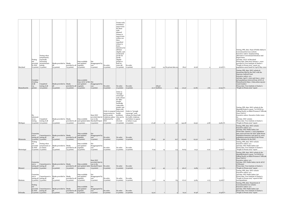|               |                                                       |                                                                                                   |                                                                                        |                                                                   |                                                                                                      |                                                                                     |                                                                                                                                        | Grants early<br>mandatory<br>supervision<br>for those<br>with<br>planned                                                                                                                                                                   |                                                                                                                                                         |       |                              |                      |                |                |      |            |                                                                                                                                                                                                                                                                                                                                                                                |
|---------------|-------------------------------------------------------|---------------------------------------------------------------------------------------------------|----------------------------------------------------------------------------------------|-------------------------------------------------------------------|------------------------------------------------------------------------------------------------------|-------------------------------------------------------------------------------------|----------------------------------------------------------------------------------------------------------------------------------------|--------------------------------------------------------------------------------------------------------------------------------------------------------------------------------------------------------------------------------------------|---------------------------------------------------------------------------------------------------------------------------------------------------------|-------|------------------------------|----------------------|----------------|----------------|------|------------|--------------------------------------------------------------------------------------------------------------------------------------------------------------------------------------------------------------------------------------------------------------------------------------------------------------------------------------------------------------------------------|
| Maryland      | Testing<br>not<br>provided<br>by DOC   testing        | Testing when<br>symptomatic;<br>reportedly<br>increasing<br>asymptomatic<br>(o points) (o points) | Masks provided to Masks<br>(15 points)                                                 | provided to all<br>(15 points)                                    | Data available<br>and updated<br>egularly<br>(15 points)                                             | Not<br>disaggregated by<br>race<br>$(o$ points)                                     | No order<br>(o points)                                                                                                                 | release to<br>superivison<br>within 120<br>days:<br>expedited<br>release to<br>home<br>detention for<br>all those<br>eligible: and<br>accelerated<br>parole for<br>parole<br>eligible<br>people at<br>least 60<br>years old<br>(10 points) | No order<br>(o points)                                                                                                                                  | 23.97 |                              | 24 No prison data av | 78.97          | 16.28          |      | $16.28$ F+ | Testing, PPE, data: Dept of Public Safety &<br>Correctional Services website<br>Executive orders: Implementing<br>Alternative Correctional Detention And<br>Supervision<br>Jail data: ACLU of Maryland<br>Prison data: Data from January 1, 2020<br>provided in Vera Institute of Justice's<br>"People in Prison 2019" report, no<br>population count found for April/May 2020 |
| Massachusetts | Complete<br>d testing<br>of all<br>$_{15}$<br>points) | Completed<br>testing of all<br>$(20$ points)                                                      | Masks provided to Masks<br>$(15$ points)                                               | provided to all<br>$(15$ points)                                  | Data available<br>from ACLU of MA Not<br>and undated<br>regularly<br>(15 points)                     | disaggregated by<br>race<br>(o points)                                              | No order<br>(o points)                                                                                                                 | No order<br>(o points)                                                                                                                                                                                                                     | No order<br>(o points)                                                                                                                                  |       | All jail<br>20.17 facilities | 10.4                 | 110.57         | 22.80          | 1.80 | $20.99$ F+ | Testing, PPE, data: DOC website &<br>documents filed by the DOC with the<br>Supreme Judicial Court<br>Executive orders: n/a<br>Jail data: April 7, 2020 and June 1, 2020<br>jail populations retrieved from ACLU of<br>Massachusetts https://data.aclum.org/sjc-<br>12926-tracker/<br>Prison data: Vera Institute of Justice's<br>"People in Prison 2019" report               |
| Michigan      | No<br>informati<br>on on<br>testing                   | Completed<br>testing of all<br>(o points) (20 points)                                             | Masks provided to Masks<br>(15 points)                                                 | provided to all<br>(15 points)                                    | Data available<br>and updated daily Marshall Project<br>15 points)                                   | State DOC<br>provided data by<br>race to the<br>$(15 \text{ points})$               | Order to suspend behavioral<br>incarceration in health<br>jail for parole<br>violations unless<br>authorized by<br>DOC:<br>(10 points) | Order to<br>"strongly<br>encourage'<br>early release<br>for older<br>people,<br>medically<br>vulnerable<br>people, and<br>those with<br>problems<br>who can be<br>safely<br>diverted<br>(10 points)                                        | Order to "strongly<br>encourage" early<br>release for those held<br>for traffic violations<br>and failure to appear<br>or failure to pay<br>(10 points) | 27.48 |                              | 5.                   | 143.08         | 29.50          | 3.68 | 25.82 D-   | Testing, PPE, data: DOC website & the<br>Marshall Project's report, "Is COVID-19<br>Falling Harder on Black Prisoners? Officials<br>Won't Tell Us"<br>Executive orders: Executive Order 2020-<br>Jail data: DOC website<br>Prison data: Vera Institute of Justice's<br>"People in Prison 2019" report                                                                          |
| Minnesota     | Commitm<br>ent to<br>(5 points)                       | Commitment to<br>testing all testing all<br>$(5 \text{ points})$                                  | Masks provided to Masks<br>$(15$ points)                                               | provided to all<br>$(15$ points)                                  | Data available<br>and updated<br>regularly<br>(15 points)                                            | Not<br>disaggregated by<br>race<br>(o points)                                       | No order<br>(o points)                                                                                                                 | No order<br>(o points)                                                                                                                                                                                                                     | No order<br>(o points)                                                                                                                                  | 38.39 | 50                           | 19.                  | 113.09         | 23.32          | 0.00 | 23.32 D-   | Testing, PPE, data: DOC website<br>Executive orders: n/a<br>Jail data: NYU Public Safety Lab<br>Prison data: January 1, 2020 population<br>data retrieved from the DOC Adult Prison<br>Population Summary and April 30, 2020<br>population count provided to the Prison<br>Policy Initiative by the DOC.                                                                       |
| Mississippi   | Testing<br>not<br>provided<br>by DOC                  | Testing when<br>symptomatic or<br>in contact                                                      | Masks provided to Masks                                                                | provided to all                                                   | Data available<br>and updated<br>egularly                                                            | Not<br>disaggregated by<br>race                                                     | No order                                                                                                                               | No order                                                                                                                                                                                                                                   | No order                                                                                                                                                | 6.25  |                              |                      |                |                | 0.22 | $12.29$ F  | Testing, PPE, data: DOC website<br>Executive orders: n/a<br>Jail data: NYU Public Safety Lab<br>Prison data: Vera Institute of Justice's<br>"People in Prison 2019" report                                                                                                                                                                                                     |
| Missouri      | Commitm                                               | (o points) (o points)<br>testing all testing all<br>$(5 \text{ points})$ $(5 \text{ points})$     | $(15 \text{ points})$<br>ent to Commitment to Masks provided to Masks<br>$(15$ points) | $(15 \text{ points})$<br>provided to all<br>$(15 \text{ points})$ | 15 points)<br>Data available<br>and updated daily Marshall Project No order<br>$(15 \text{ points})$ | (o points)<br>State DOC<br>provided data by<br>race to the<br>$(15 \text{ points})$ | (o points)<br>(o points)                                                                                                               | (o points)<br>No order<br>(o points)                                                                                                                                                                                                       | (o points)<br>No order<br>(o points)                                                                                                                    | 19.27 | 45                           | 9.                   | 60.65<br>96.27 | 12.51<br>19.85 | 0.08 | 19.77 F+   | Testing, PPE, data: DOC website & the<br>Marshall Project's report, "Is COVID-19<br>Falling Harder on Black Prisoners? Officials<br>Won't Tell Us"<br>Executive orders: n/a<br>Jail data: NYU Public Safety Lab & ACLU<br>of Missouri<br>Prison data: Vera Institute of Justice's<br>"People in Prison 2019" report                                                            |
| Montana       | Commitm                                               | ent to Commitment to<br>testing all testing all<br>(5 points) (5 points)                          | Masks provided to Masks<br>(15 points)                                                 | provided to all<br>(15 points)                                    | Data available<br>and updated<br>egularly<br>15 points)                                              | Not<br>disaggregated by<br>race<br>(o points)                                       | No order<br>(o points)                                                                                                                 | No order<br>(o points)                                                                                                                                                                                                                     | No order<br>(o points)                                                                                                                                  | 3.57  |                              | 8.                   | 67.07          | 13.83          | 0.75 | 13.08 F    | Testing, PPE, data: DOC website<br>Executive orders: n/a<br>Jail data: NYU Public Safety Lab<br>Prison data: Vera Institute of Justice's<br>"People in Prison 2019" report & DOC<br>correspondence                                                                                                                                                                             |
| Nebraska      | Testing<br>provided                                   | Commitment to<br>by DOC testing all<br>(o points) (5 points)                                      | Masks provided to Masks<br>$(15$ points)                                               | provided to all<br>$(15 \text{ points})$                          | Data available<br>and updated<br>regularly<br>$(15$ points)                                          | Not<br>disaggregated by<br>race<br>(o points)                                       | No order<br>(o points)                                                                                                                 | No order<br>(o points)                                                                                                                                                                                                                     | No order<br>(o points)                                                                                                                                  | 25.91 |                              |                      | 79.91          | 16.48          | 0.00 | $16.48$ F+ | Testing, PPE, data: Department of<br>Correctional Service website<br>Executive orders: n/a<br>Jail data: NYU Public Safety Lab<br>Prison data: Vera Institute of Justice's<br>"People in Prison 2019" report                                                                                                                                                                   |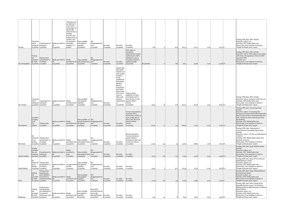| Nevada         | Commitm<br>ent to                                  | Commitment to<br>testing all testing all<br>$(5 \text{ points})$ $(5 \text{ points})$                                  | Masks provided to controlled<br>(15 points)                | "Offenders are<br>not allowed to<br>wear masks<br>unless they are<br>specifically<br>ordered to by a<br>medical<br>provider and<br>authorized by a<br>warden, and<br>are housed in<br>isolation" (o<br>points) | Data available<br>and updated<br>regularly<br>(15 points)                         | Not<br>disaggregated by<br>race<br>(o points)                                                      | No order<br>(o points) | No order<br>(o points)                                                                                                                                                                                                                      | No order<br>(o points)                                                                                                                                              | 7.87         |    | 12.6 | 60.47  | 12.47 | 0.16 | 12.30 F      | Testing, PPE, data: DOC website<br>Executive orders: n/a<br>Jail data: NYU Public Safety Lab<br>Prison data: Vera Institute of Justice's<br>"People in Prison 2019" report                                                                                                                                                                                |
|----------------|----------------------------------------------------|------------------------------------------------------------------------------------------------------------------------|------------------------------------------------------------|----------------------------------------------------------------------------------------------------------------------------------------------------------------------------------------------------------------|-----------------------------------------------------------------------------------|----------------------------------------------------------------------------------------------------|------------------------|---------------------------------------------------------------------------------------------------------------------------------------------------------------------------------------------------------------------------------------------|---------------------------------------------------------------------------------------------------------------------------------------------------------------------|--------------|----|------|--------|-------|------|--------------|-----------------------------------------------------------------------------------------------------------------------------------------------------------------------------------------------------------------------------------------------------------------------------------------------------------------------------------------------------------|
| New Hampshire  | Testing<br>not<br>provided                         | Testing when<br>symptomatic or<br>by DOC in contact<br>(o points) (o points)                                           | Masks provided to Masks<br>(15 points)                     | $(15 \text{ points})$                                                                                                                                                                                          | Data available<br>provided to all and updated daily race<br>$(15 \text{ points})$ | disaggregated by<br>(o points)                                                                     | No order<br>(o points) | No order<br>(o points)                                                                                                                                                                                                                      | DOC policy to<br>streamline<br>administrative-home<br>confinement (AHC),<br>additional 5 points<br>awarded as policy is<br>applied broadly<br>$(15 \text{ points})$ | No jail data |    | 8.8  | 68.3   | 14.08 | 0.00 | $14.08$ F+   | Testing, PPE, data: DOC website<br>Executive orders: DOC policy to streamline<br>AHC from correspondence between DOC<br>and ACLU-NH<br>Jail data: n/a<br>Prison data: Vera Institute of Justice's<br>"People in Prison 2019" report                                                                                                                       |
| New Jersey     | Commitm<br>ent to                                  | Commitment to<br>testing all testing all<br>(5 points) (5 points)                                                      | Masks provided to Masks<br>15 points)                      | provided to all<br>$(15 \text{ points})$                                                                                                                                                                       | Data available<br>and updated<br>regularly<br>(15 points)                         | Not<br>disaggregated by<br>race<br>(o points)                                                      | No order<br>(o points) | Orders that<br>DOC shall<br>identify and<br>refer people<br>to both a<br>newly<br>established<br>Emergency<br>Medical<br>Review<br>Committee<br>nad Parole<br>Board those<br>who are 60<br>years or<br>older with<br>medical<br>(10 points) | Orders release<br>eligibility for those<br>nearing the end of<br>their sentence, with<br>vulnerabiliti specific offense<br>criteria<br>(10 points)                  | 35-31        |    | 11.8 | 122.11 | 25.18 | 5.25 | $19.93$ $F+$ | Testing, PPE, data: DOC website<br>Executive orders: Executive Order No. 124<br>Jail data: NYU Public Safety Lab<br>Prison data: Vera Institute of Justice's<br>"People in Prison 2019" report                                                                                                                                                            |
| New Mexico     | Complete<br>d testing<br>of all<br>(15)<br>points) | Testing some<br>(o points)                                                                                             | Masks provided to Masks<br>$(15 \text{ points})$           | provided to all of updates<br>$(15 \text{ points})$                                                                                                                                                            | Data available, no Not<br>(5 points)                                              | specific frequency disaggregated by<br>race<br>(o points)                                          | No order<br>(o points) | No order<br>(o points)                                                                                                                                                                                                                      | Grants commutations<br>to people with a<br>release date within 30<br>days, parole plan in<br>place, and who meet<br>specific offense<br>criteria<br>(10 points)     | 22.03        | 11 | 4.9  | 86.93  | 17.92 | 0.30 | $17.62$ F+   | Testing, PPE, data: Corrections Dept<br>website<br>Executive orders: Commuting The<br>Sentences Of Incarcerated Individuals Who<br>Meet Certain Criteria And Instructing The<br>DOC To Release Those Individuals From<br>Its Facilities<br>Jail data: NYU Public Safety Lab<br>Prison data: Vera Institute of Justice's<br>"People in Prison 2019" report |
| New York       | N٥<br>on on<br>testing                             | informati Testing when<br>symptomatic or<br>in contact<br>(o points) (o points)                                        | Masks provided to Masks<br>15 points)                      | (15 points)                                                                                                                                                                                                    | Data available<br>provided to all and updated daily race<br>(15 points)           | Not<br>disaggregated by<br>(o points)                                                              | No order<br>(o points) | No order<br>(o points)                                                                                                                                                                                                                      | DOCCS identifies<br>"low-level technical<br>parole violators<br>detained in jails" and<br>reviews for release<br>(10 points)                                        | 21.62        | 53 |      | 91.62  | 18.89 | 0.78 | $18.11$ F+   | Testing, PPE, data: Department of<br>Corrections & Community Supervision<br>website<br>Executive orders: COVID-19 Jail Reduction<br>DOCCS<br>Jail data: NYU Public Safety Lab & Vera<br>Institute of Justice<br>Prison data: Vera Institute of Justice's<br>'People in Prison 2019" report                                                                |
| North Carolina | Testing<br>available,<br>but not                   | Commitment to<br>required testing all<br>$(5 \text{ points})$ $(5 \text{ points})$                                     | Masks provided to provided to<br>$(15 \text{ points})$     | Masks<br>some<br>(o points)                                                                                                                                                                                    | Data available<br>and updated daily race<br>$(15 \text{ points})$                 | Not<br>disaggregated by<br>(o points)                                                              | No order<br>(o points) | No order<br>(o points)                                                                                                                                                                                                                      | No order<br>(o points)                                                                                                                                              | 21.79        |    | 9.9  | 71.69  | 14.78 | 0.30 | 14.48 F+     | Testing, PPE, data: Dept of Public Safety<br>website<br>Executive orders: n/a<br>Jail data: NYU Public Safety Lab<br>Prison data: Vera Institute of Justice's<br>"People in Prison 2019" report                                                                                                                                                           |
| North Dakota   | No<br>on on<br>testing                             | informati Testing when<br>symptomatic or<br>in contact<br>(o points) (o points)                                        | Masks provided to No information and updated<br>15 points) | on PPE<br>(o points)                                                                                                                                                                                           | Data available<br>regularly<br>(15 points)                                        | Not<br>disaggregated by<br>race<br>(o points)                                                      | No order<br>(o points) | No order<br>(o points)                                                                                                                                                                                                                      | No order<br>(o points)                                                                                                                                              | 14.29        |    | 37.5 | 81.39  | 16.78 | 0.00 | $16.78 F+$   | Testing, PPE, data: Dept of Corrections &<br>Rehabilitation website<br>Executive orders: n/a<br>Jail data: NYU Public Safety Lab<br>Prison data: Vera Institute of Justice's<br>"People in Prison 2019" report                                                                                                                                            |
| Ohio           | Testing<br>not<br>provided<br>by DOC               | Testing when<br>symptomatic:<br>some facilities<br>committed to<br>complete testing all<br>(o points) (5 points)       | Masks provided to Masks<br>(15 points)                     | provided to all<br>$(15 \text{ points})$                                                                                                                                                                       | Data available<br>and updated<br>regularly<br>(15 points)                         | Not<br>disaggregated by<br>race<br>(o points)                                                      | No order<br>(o points) | No order<br>(o points)                                                                                                                                                                                                                      | No order<br>(o points)                                                                                                                                              | 21.78        | 26 | 5.3  | 77.08  | 15.89 | 3.26 | $12.63$ F    | Testing, PPE, data: Dept of Rehabilitation<br>& Correction website<br>Executive orders: n/a<br>Jail data: NYU Public Safety Lab<br>Prison data: Vera Institute of Justice's<br>"People in Prison 2019" report                                                                                                                                             |
| Oklahoma       | Testing<br>not<br>provided                         | Testing some;<br>testing all who<br>are scheduled to<br>be released<br>by DOC within one week<br>(o points) (5 points) | Masks provided to Masks<br>аll<br>(15 points)              | provided to all regularly<br>$(15 \text{ points})$                                                                                                                                                             | Data available<br>and updated<br>(15 points)                                      | State DOC<br>provided data by<br>race to the<br>Marshall Project No order<br>$(15 \text{ points})$ | (o points)             | No order<br>(o points)                                                                                                                                                                                                                      | No order<br>(o points)                                                                                                                                              | 3.51         | 14 | 6    | 74.51  | 15.36 | 0.00 | 15.36 F+     | Testing, PPE, data: DOC website & the<br>Marshall Project's report, "Is COVID-19<br>Falling Harder on Black Prisoners? Officials<br>Won't Tell Us"<br>Executive orders: n/a<br>Jail data: NYU Public Safety Lab<br>Prison data: Vera Institute of Justice's<br>"People in Prison 2019" report                                                             |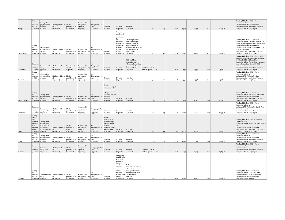| Oregon         | Testing<br>not                                 | Testing when<br>provided symptomatic or<br>by DOC in contact<br>(o points) (o points)        | Masks provided to Masks<br>$(15$ points)                                        | provided to all<br>$(15 \text{ points})$    | Data available<br>and updated<br>regularly<br>$(15$ points)             | Not<br>disaggregated by<br>race<br>$(o$ points)   | No order<br>(o points)                                                                                                                | No order<br>(o points)                                                                                                                             | No order<br>(o points)                                                                                                                                                                                          | 40.85                                  | 25  | 17.8 | 103.65 | 21.37 | 0.14 | $21.23$ D-  | Testing, PPE, data: DOC website<br>Executive orders: n/a<br>Jail data: NYU Public Safety Lab<br>Prison data: Vera Institute of Justice's<br>"People in Prison 2019" report                                                                                                                                   |
|----------------|------------------------------------------------|----------------------------------------------------------------------------------------------|---------------------------------------------------------------------------------|---------------------------------------------|-------------------------------------------------------------------------|---------------------------------------------------|---------------------------------------------------------------------------------------------------------------------------------------|----------------------------------------------------------------------------------------------------------------------------------------------------|-----------------------------------------------------------------------------------------------------------------------------------------------------------------------------------------------------------------|----------------------------------------|-----|------|--------|-------|------|-------------|--------------------------------------------------------------------------------------------------------------------------------------------------------------------------------------------------------------------------------------------------------------------------------------------------------------|
| Pennsylvania   | Testing<br>not<br>provided                     | Testing when<br>symptomatic or<br>by DOC in contact<br>(o points) (o points)                 | Masks provided to Masks<br>(15 points)                                          | (15 points)                                 | Data available<br>provided to all and updated daily race<br>(15 points) | disaggregated by<br>(o points)                    | No order<br>(o points)                                                                                                                | Grants<br>reprieve of<br>sentence to<br>people who<br>are<br>medically<br>vulnerable<br>and meet<br>specific<br>offense<br>criteria<br>(10 points) | Grants reprieve of<br>sentence to people<br>who are within 12<br>months of release<br>eligibility and who "do<br>not pose a risk" to<br>public safety<br>$(10$ points)                                          | 21.12                                  | 40  | 8.8  | 94.92  | 19.57 | 0.41 | 19.16 F+    | Testing, PPE, data: DOC website<br>Executive orders: Order Of The Gov. Of<br>Penn. Regarding Individuals Incarcerated<br>In State Correctional Institutions<br>Jail data: NYU Public Safety Lab & Vera<br>Institute of Justice<br>Prison data: Vera Institute of Justice's<br>"People in Prison 2019" report |
| Rhode Island   | Commitm<br>ent to                              | Commitment to<br>testing all testing all<br>(5 points) (5 points)                            | Masks provided to No information Data available<br>(15 points)                  | on PPE<br>(o points)                        | and updated daily race<br>(15 points)                                   | disaggregated by<br>(o points)                    | No order<br>(o points)                                                                                                                | No order<br>(o points)                                                                                                                             | DOC established<br>process for early<br>release and awarding<br>good time that may<br>have been lost<br>(10 points)                                                                                             | Combined prison<br>and jail system     | n/a | 25.2 | 75.2   | 15.51 | 0.00 | $15.51 F +$ | Testing, PPE, data: DOC website, DOC<br>facebook page, correspondence between<br>DOC and ACLU of Rhode Island<br>Executive orders: Report from Providence<br>Journal citing interview with DOC<br>Jail data: n/a<br>Prison data: Vera Institute of Justice's<br>"People in Prison 2019" report               |
| South Carolina | Testing<br>provided<br>by DOC                  | Testing when<br>symptomatic or<br>in contact<br>o points) (o points)                         | Masks provided to Masks<br>$(15 \text{ points})$                                | provided to all<br>$(15 \text{ points})$    | Data available<br>and updated<br>regularly<br>(15 points)               | Not<br>disaggregated by<br>race<br>(o points)     | $\rm No$ order<br>(o points)                                                                                                          | No order<br>(o points)                                                                                                                             | No order<br>(o points)                                                                                                                                                                                          | 25.74                                  | 20  | 4.1  | 75-54  | 15.58 | 0.00 | $15.58$ F+  | Testing, PPE, data: DOC website<br>Executive orders: n/a<br>Jail data: NYU Public Safety Lab<br>Prison data: Vera Institute of Justice's<br>"People in Prison 2019" report                                                                                                                                   |
|                | Testing<br>not<br>provided<br>by DOC           | Testing when<br>symptomatic or<br>in contact                                                 | Masks provided to Masks                                                         |                                             | Data available<br>provided to all and updated daily race                | disaggregated by                                  | Orders<br>suspension of jail<br>admissions for<br>people on parole<br>with positive<br>urinalysis test for<br>controlled<br>substance | No order                                                                                                                                           | No order                                                                                                                                                                                                        |                                        |     |      |        |       |      |             | Testing, PPE, data: DOC website<br>Executive orders: Executive Order 2020-14<br>Jail data: NYU Public Safety Lab<br>Prison data: Vera Institute of Justice's                                                                                                                                                 |
| South Dakota   |                                                | (o points) (o points)                                                                        | (15 points)                                                                     | $(15 \text{ points})$                       | (15 points)                                                             | (o points)                                        | (10 points)                                                                                                                           | (o points)                                                                                                                                         | (o points)                                                                                                                                                                                                      | $-3.7$                                 |     | 6.6  | 57.9   | 11.94 | 0.00 | 11.94 F     | "People in Prison 2019" report                                                                                                                                                                                                                                                                               |
| Tennessee      | Commitm<br>ent to                              | Completed<br>testing all testing of all<br>5 points) (20 points)                             | Masks provided to Masks<br>$(15$ points)                                        | provided to all<br>(15 points)              | Data available<br>and updated<br>regularly<br>15 points)                | Disaggregated by<br>race<br>$(15$ points)         | No order<br>(o points)                                                                                                                | No order<br>(o points)                                                                                                                             | No order<br>(o points)                                                                                                                                                                                          | 31.4                                   | 94  | 12.8 | 129.2  | 26.64 | 0.29 | 26.35 D-    | Testing, PPE, data: DOC website<br>Executive orders: n/a<br>Jail data: NYU Public Safety Lab & Vera<br>Institute of Justice<br>Prison data: Vera Institute of Justice's<br>"People in Prison 2019" report                                                                                                    |
|                | Testing<br>some;<br>some<br>facilities<br>d to | Testing when<br>committe symptomatic;<br>some facilities                                     |                                                                                 | Masks                                       | Data available                                                          | Not                                               | Orders<br>suspension of<br>rules relating to<br>personal bonds<br>allowing                                                            |                                                                                                                                                    |                                                                                                                                                                                                                 |                                        |     |      |        |       |      |             | Testing, PPE, data: Dept. of Criminal<br>Justice website<br>Executive orders: Executive Order No. GA-                                                                                                                                                                                                        |
| Texas          | complete<br>testing                            | committed to<br>complete testing all<br>(5 points) (5 points)                                | Masks provided to provided to<br>(15 points)                                    | some<br>(o points)                          | and updated<br>regularly<br>$(15 \text{ points})$                       | disaggregated by<br>race<br>(o points)            | increased use of<br>ersonal bond<br>(10 points)                                                                                       | No order<br>(o points)                                                                                                                             | No order<br>(o points)                                                                                                                                                                                          | 2.43                                   | 44  | 9.7  | 62.13  | 12.81 | 0.71 | $12.10$ F   | Jail data: NYU Public Safety Lab<br>Prison data: Vera Institute of Justice's<br>"People in Prison 2019" report                                                                                                                                                                                               |
| Utah           | Testing<br>not<br>provided<br>by DOC           | Testing when<br>symptomatic or<br>in contact<br>(o points) (o points)                        | Masks provided to Masks<br>$(15 \text{ points})$                                | provided to all<br>$(15 \text{ points})$    | Data available<br>and updated daily race<br>(15 points)                 | Not<br>disaggregated by<br>(o points)             | No order<br>(o points)                                                                                                                | No order<br>(o points)                                                                                                                             | No order<br>(o points)                                                                                                                                                                                          | 16.17                                  |     | 19.8 | 80.97  | 16.69 | 0.00 | $16.69$ F+  | Testing, PPE, data: DOC website<br>Executive orders: n/a<br>Jail data: NYU Public Safety Lab<br>Prison data: Vera Institute of Justice's<br>"People in Prison 2019" report                                                                                                                                   |
| Vermont        | Commitm                                        | ent to Completed<br>testing all testing of all<br>$(5 \text{ points})$ $(20 \text{ points})$ | Masks provided to Masks<br>a <sup>H</sup><br>(15 points)                        | provided to all<br>$(15 \text{ points})$    | Data available<br>and updated<br>regularly<br>(15 points)               | Disaggregated by<br>race<br>$(15 \text{ points})$ | No order<br>(o points)                                                                                                                | No order<br>(o points)                                                                                                                             | No order<br>(o points)                                                                                                                                                                                          | Combined prison<br>and jail system n/a |     | 29.7 | 114.7  | 23.65 | 0.00 | 23.65 D-    | Testing, PPE, data: DOC website<br>Executive orders: n/a<br>Jail data: n/a<br>Prison data: Vera Institute of Justice's<br>"People in Prison 2019" report                                                                                                                                                     |
| Virginia       | Testing<br>not                                 | by DOC testing all<br>$(0 \text{ points})$ $(5 \text{ points})$                              | provided Commitment to Masks provided to Masks<br> a  <br>$(15 \text{ points})$ | $(15 \text{ points})$ $(15 \text{ points})$ | Data available<br>provided to all and updated daily race                | disaggregated by<br>(o points)                    | No order<br>(o points)                                                                                                                | Authorizes<br>consideratio<br>n for early<br>release for<br>those who<br>meet<br>specific<br>offense<br>criteria and<br>medical<br>criteria        | Authorizes<br>consideration for early<br>release for those who<br>meet specific offense<br>criteria and are within<br>vulnerability 1 year of end of<br>sentence<br>$(10 \text{ points})$ $(10 \text{ points})$ | 13.64                                  | 25  | 2.56 | 83.64  | 17.25 | 0.63 | $16.62$ F+  | Testing, PPE, data: DOC website<br>Executive orders: DOC COVID-19<br>Response Inmate Early Release Plan<br>Jail data: NYU Public Safety Lab<br>Prison data: DOC website                                                                                                                                      |